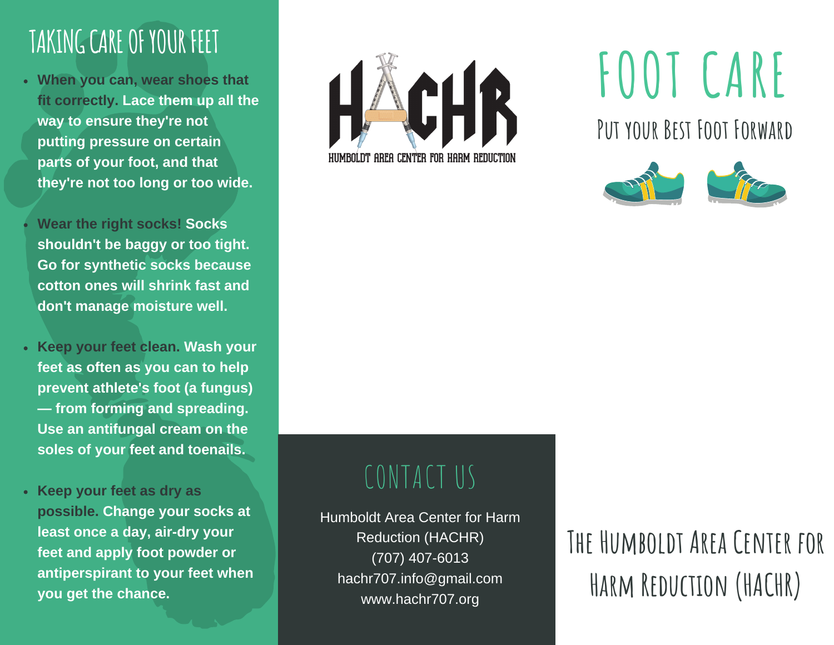### TAKING CARE OF YOUR FEET

**When you can, wear shoes that fit correctly. Lace them up all the way to ensure they're not putting pressure on certain parts of your foot, and that they're not too long or too wide.**

**Wear the right socks! Socks shouldn't be baggy or too tight. Go for synthetic socks because cotton ones will shrink fast and don't manage moisture well.**

- **Keep your feet clean. Wash your feet as often as you can to help prevent athlete's foot (a fungus) — from forming and spreading. Use an antifungal cream on the soles of your feet and toenails.**
- **Keep your feet as dry as possible. Change your socks at least once a day, air-dry your feet and apply foot powder or antiperspirant to your feet when you get the chance.**



# **FOOT CARE**

**Put your Best Foot Forward**



### CONTACT US

Humboldt Area Center for Harm Reduction (HACHR) (707) 407-6013 hachr707.info@gmail.com www.hachr707.org

### **The Humboldt Area Center for Harm Reduction (HACHR)**